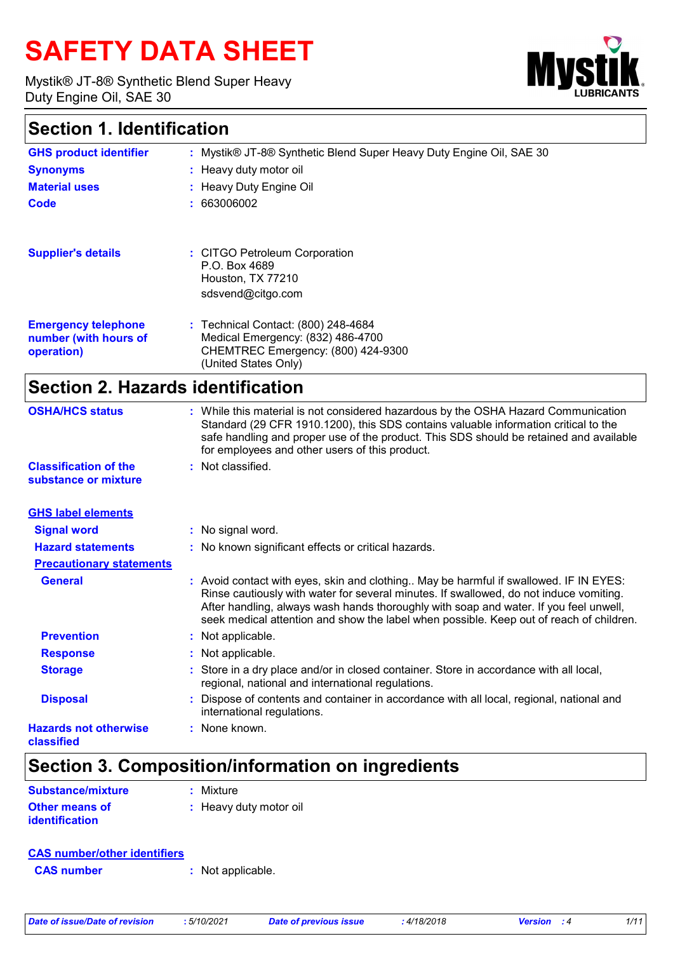# **SAFETY DATA SHEET**

Mystik® JT-8® Synthetic Blend Super Heavy Duty Engine Oil, SAE 30



### **Section 1. Identification**

| <b>GHS product identifier</b>                                     | : Mystik® JT-8® Synthetic Blend Super Heavy Duty Engine Oil, SAE 30                                                                    |
|-------------------------------------------------------------------|----------------------------------------------------------------------------------------------------------------------------------------|
| <b>Synonyms</b>                                                   | : Heavy duty motor oil                                                                                                                 |
| <b>Material uses</b>                                              | : Heavy Duty Engine Oil                                                                                                                |
| Code                                                              | : 663006002                                                                                                                            |
| <b>Supplier's details</b>                                         | : CITGO Petroleum Corporation<br>P.O. Box 4689<br>Houston, TX 77210<br>sdsvend@citgo.com                                               |
| <b>Emergency telephone</b><br>number (with hours of<br>operation) | : Technical Contact: (800) 248-4684<br>Medical Emergency: (832) 486-4700<br>CHEMTREC Emergency: (800) 424-9300<br>(United States Only) |
|                                                                   | <b>Section 2. Hazards identification</b>                                                                                               |

|   | Not applicable.<br>Not applicable.<br>Store in a dry place and/or in closed container. Store in accordance with all local,<br>regional, national and international regulations.<br>Dispose of contents and container in accordance with all local, regional, national and<br>international regulations.<br>$:$ None known.                                          |
|---|---------------------------------------------------------------------------------------------------------------------------------------------------------------------------------------------------------------------------------------------------------------------------------------------------------------------------------------------------------------------|
|   |                                                                                                                                                                                                                                                                                                                                                                     |
|   |                                                                                                                                                                                                                                                                                                                                                                     |
|   |                                                                                                                                                                                                                                                                                                                                                                     |
|   |                                                                                                                                                                                                                                                                                                                                                                     |
|   | : Avoid contact with eyes, skin and clothing May be harmful if swallowed. IF IN EYES:<br>Rinse cautiously with water for several minutes. If swallowed, do not induce vomiting.<br>After handling, always wash hands thoroughly with soap and water. If you feel unwell,<br>seek medical attention and show the label when possible. Keep out of reach of children. |
|   |                                                                                                                                                                                                                                                                                                                                                                     |
|   | : No known significant effects or critical hazards.                                                                                                                                                                                                                                                                                                                 |
|   | : No signal word.                                                                                                                                                                                                                                                                                                                                                   |
|   |                                                                                                                                                                                                                                                                                                                                                                     |
| ٠ | Not classified.                                                                                                                                                                                                                                                                                                                                                     |
|   | While this material is not considered hazardous by the OSHA Hazard Communication<br>Standard (29 CFR 1910.1200), this SDS contains valuable information critical to the<br>safe handling and proper use of the product. This SDS should be retained and available<br>for employees and other users of this product.                                                 |
|   |                                                                                                                                                                                                                                                                                                                                                                     |

### **Section 3. Composition/information on ingredients**

| <b>Substance/mixture</b>                | : Mixture              |
|-----------------------------------------|------------------------|
| <b>Other means of</b><br>identification | : Heavy duty motor oil |

|--|

| <b>CAS number</b> | : Not applicable. |
|-------------------|-------------------|
|-------------------|-------------------|

|  |  | Date of issue/Date of revision |  |
|--|--|--------------------------------|--|
|  |  |                                |  |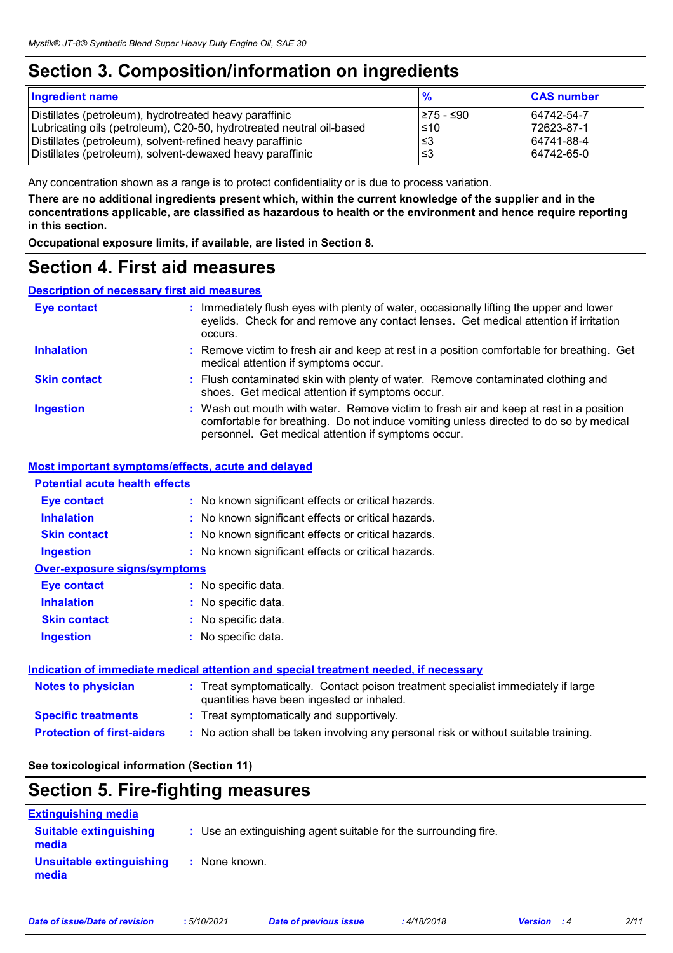### **Section 3. Composition/information on ingredients**

| <b>Ingredient name</b>                                               | $\frac{1}{2}$ | <b>CAS number</b> |
|----------------------------------------------------------------------|---------------|-------------------|
| Distillates (petroleum), hydrotreated heavy paraffinic               | I≥75 - ≤90    | 64742-54-7        |
| Lubricating oils (petroleum), C20-50, hydrotreated neutral oil-based | $\leq 10$     | 72623-87-1        |
| Distillates (petroleum), solvent-refined heavy paraffinic            | l≤3           | 64741-88-4        |
| Distillates (petroleum), solvent-dewaxed heavy paraffinic            | ا≤3           | 64742-65-0        |

Any concentration shown as a range is to protect confidentiality or is due to process variation.

**There are no additional ingredients present which, within the current knowledge of the supplier and in the concentrations applicable, are classified as hazardous to health or the environment and hence require reporting in this section.**

**Occupational exposure limits, if available, are listed in Section 8.**

### **Section 4. First aid measures**

#### **Description of necessary first aid measures**

| <b>Eye contact</b>  | : Immediately flush eyes with plenty of water, occasionally lifting the upper and lower<br>eyelids. Check for and remove any contact lenses. Get medical attention if irritation<br>occurs.                                            |  |
|---------------------|----------------------------------------------------------------------------------------------------------------------------------------------------------------------------------------------------------------------------------------|--|
| <b>Inhalation</b>   | : Remove victim to fresh air and keep at rest in a position comfortable for breathing. Get<br>medical attention if symptoms occur.                                                                                                     |  |
| <b>Skin contact</b> | : Flush contaminated skin with plenty of water. Remove contaminated clothing and<br>shoes. Get medical attention if symptoms occur.                                                                                                    |  |
| <b>Ingestion</b>    | : Wash out mouth with water. Remove victim to fresh air and keep at rest in a position<br>comfortable for breathing. Do not induce vomiting unless directed to do so by medical<br>personnel. Get medical attention if symptoms occur. |  |

#### **Most important symptoms/effects, acute and delayed**

#### **Potential acute health effects**

| <b>Eye contact</b>                  | : No known significant effects or critical hazards.                                                                            |
|-------------------------------------|--------------------------------------------------------------------------------------------------------------------------------|
| <b>Inhalation</b>                   | : No known significant effects or critical hazards.                                                                            |
| <b>Skin contact</b>                 | : No known significant effects or critical hazards.                                                                            |
| <b>Ingestion</b>                    | : No known significant effects or critical hazards.                                                                            |
| <b>Over-exposure signs/symptoms</b> |                                                                                                                                |
| <b>Eye contact</b>                  | : No specific data.                                                                                                            |
| <b>Inhalation</b>                   | : No specific data.                                                                                                            |
| <b>Skin contact</b>                 | : No specific data.                                                                                                            |
| <b>Ingestion</b>                    | : No specific data.                                                                                                            |
|                                     | Indication of immediate medical attention and special treatment needed, if necessary                                           |
| <b>Notes to physician</b>           | : Treat symptomatically. Contact poison treatment specialist immediately if large<br>quantities have been ingested or inhaled. |

- **Specific treatments :** Treat symptomatically and supportively.
- **Protection of first-aiders :** No action shall be taken involving any personal risk or without suitable training.

#### **See toxicological information (Section 11)**

## **Section 5. Fire-fighting measures**

| <b>Extinguishing media</b>             |                                                                 |
|----------------------------------------|-----------------------------------------------------------------|
| <b>Suitable extinguishing</b><br>media | : Use an extinguishing agent suitable for the surrounding fire. |
| Unsuitable extinguishing<br>media      | : None known.                                                   |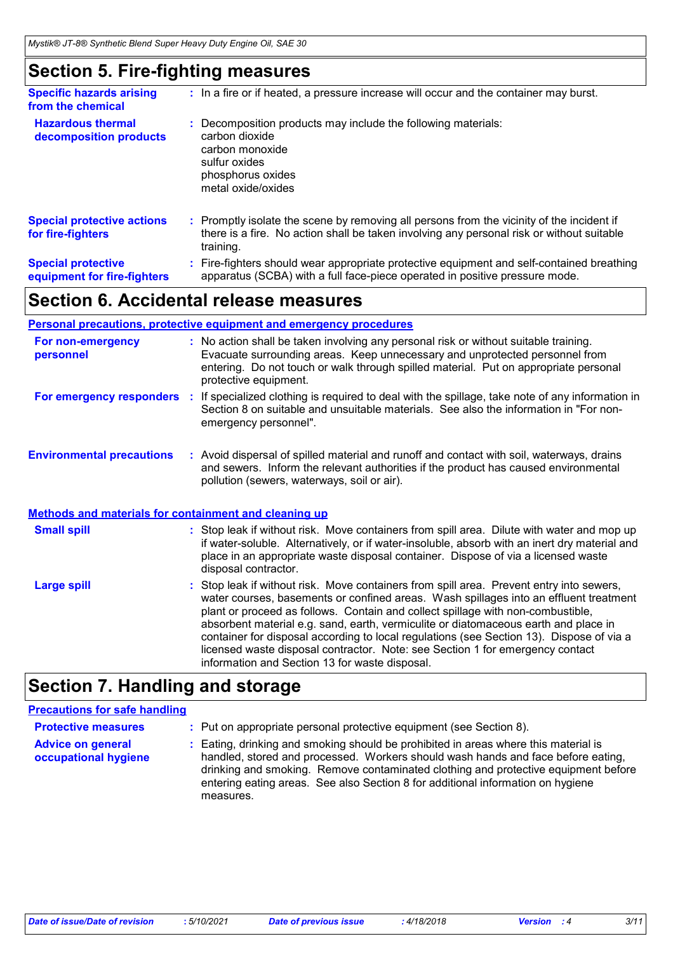### **Section 5. Fire-fighting measures**

| <b>Specific hazards arising</b><br>from the chemical     | : In a fire or if heated, a pressure increase will occur and the container may burst.                                                                                                               |
|----------------------------------------------------------|-----------------------------------------------------------------------------------------------------------------------------------------------------------------------------------------------------|
| <b>Hazardous thermal</b><br>decomposition products       | Decomposition products may include the following materials:<br>carbon dioxide<br>carbon monoxide<br>sulfur oxides<br>phosphorus oxides<br>metal oxide/oxides                                        |
| <b>Special protective actions</b><br>for fire-fighters   | : Promptly isolate the scene by removing all persons from the vicinity of the incident if<br>there is a fire. No action shall be taken involving any personal risk or without suitable<br>training. |
| <b>Special protective</b><br>equipment for fire-fighters | : Fire-fighters should wear appropriate protective equipment and self-contained breathing<br>apparatus (SCBA) with a full face-piece operated in positive pressure mode.                            |

### **Section 6. Accidental release measures**

|                                                              | <b>Personal precautions, protective equipment and emergency procedures</b>                                                                                                                                                                                                           |
|--------------------------------------------------------------|--------------------------------------------------------------------------------------------------------------------------------------------------------------------------------------------------------------------------------------------------------------------------------------|
| For non-emergency<br>personnel                               | : No action shall be taken involving any personal risk or without suitable training.<br>Evacuate surrounding areas. Keep unnecessary and unprotected personnel from<br>entering. Do not touch or walk through spilled material. Put on appropriate personal<br>protective equipment. |
| For emergency responders                                     | If specialized clothing is required to deal with the spillage, take note of any information in<br>Section 8 on suitable and unsuitable materials. See also the information in "For non-<br>emergency personnel".                                                                     |
| <b>Environmental precautions</b>                             | : Avoid dispersal of spilled material and runoff and contact with soil, waterways, drains<br>and sewers. Inform the relevant authorities if the product has caused environmental<br>pollution (sewers, waterways, soil or air).                                                      |
| <b>Methods and materials for containment and cleaning up</b> |                                                                                                                                                                                                                                                                                      |
| <b>Small spill</b>                                           | : Stop leak if without risk. Move containers from spill area. Dilute with water and mop up<br>if water-soluble. Alternatively, or if water-insoluble, absorb with an inert dry material and<br>place in an appropriate waste disposal container. Dispose of via a licensed waste     |

|                    | disposal contractor.                                                                                                                                                                                                                                                                                                                                                                                                                                                                                                                                                                       |
|--------------------|--------------------------------------------------------------------------------------------------------------------------------------------------------------------------------------------------------------------------------------------------------------------------------------------------------------------------------------------------------------------------------------------------------------------------------------------------------------------------------------------------------------------------------------------------------------------------------------------|
| <b>Large spill</b> | : Stop leak if without risk. Move containers from spill area. Prevent entry into sewers,<br>water courses, basements or confined areas. Wash spillages into an effluent treatment<br>plant or proceed as follows. Contain and collect spillage with non-combustible,<br>absorbent material e.g. sand, earth, vermiculite or diatomaceous earth and place in<br>container for disposal according to local regulations (see Section 13). Dispose of via a<br>licensed waste disposal contractor. Note: see Section 1 for emergency contact<br>information and Section 13 for waste disposal. |

### **Section 7. Handling and storage**

### **Precautions for safe handling**

| <b>Protective measures</b>                       | : Put on appropriate personal protective equipment (see Section 8).                                                                                                                                                                                                                                                                                           |
|--------------------------------------------------|---------------------------------------------------------------------------------------------------------------------------------------------------------------------------------------------------------------------------------------------------------------------------------------------------------------------------------------------------------------|
| <b>Advice on general</b><br>occupational hygiene | : Eating, drinking and smoking should be prohibited in areas where this material is<br>handled, stored and processed. Workers should wash hands and face before eating,<br>drinking and smoking. Remove contaminated clothing and protective equipment before<br>entering eating areas. See also Section 8 for additional information on hygiene<br>measures. |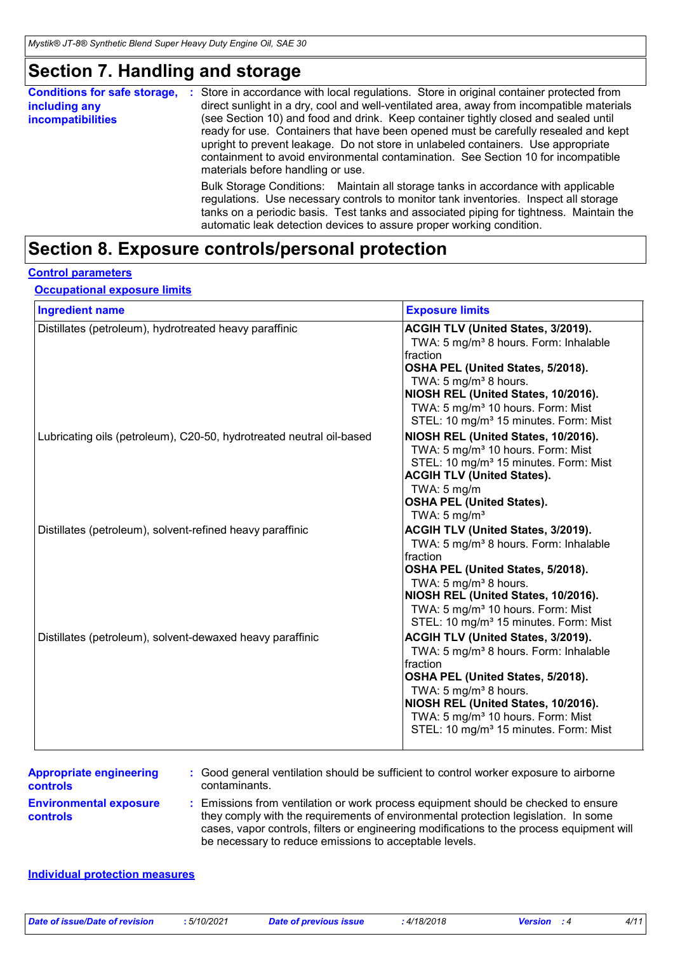### **Section 7. Handling and storage**

| <b>Conditions for safe storage,</b><br>including any<br><b>incompatibilities</b> | Store in accordance with local regulations. Store in original container protected from<br>п.<br>direct sunlight in a dry, cool and well-ventilated area, away from incompatible materials<br>(see Section 10) and food and drink. Keep container tightly closed and sealed until<br>ready for use. Containers that have been opened must be carefully resealed and kept<br>upright to prevent leakage. Do not store in unlabeled containers. Use appropriate<br>containment to avoid environmental contamination. See Section 10 for incompatible<br>materials before handling or use. |
|----------------------------------------------------------------------------------|----------------------------------------------------------------------------------------------------------------------------------------------------------------------------------------------------------------------------------------------------------------------------------------------------------------------------------------------------------------------------------------------------------------------------------------------------------------------------------------------------------------------------------------------------------------------------------------|
|                                                                                  | Bulk Storage Conditions: Maintain all storage tanks in accordance with applicable<br>regulations. Use necessary controls to monitor tank inventories. Inspect all storage<br>tanks on a periodic basis. Test tanks and associated piping for tightness. Maintain the<br>automatic leak detection devices to assure proper working condition.                                                                                                                                                                                                                                           |

### **Section 8. Exposure controls/personal protection**

#### **Control parameters**

**Occupational exposure limits**

| <b>Ingredient name</b>                                               | <b>Exposure limits</b>                                                                                                                                                                                                                                                                                                     |
|----------------------------------------------------------------------|----------------------------------------------------------------------------------------------------------------------------------------------------------------------------------------------------------------------------------------------------------------------------------------------------------------------------|
| Distillates (petroleum), hydrotreated heavy paraffinic               | ACGIH TLV (United States, 3/2019).<br>TWA: 5 mg/m <sup>3</sup> 8 hours. Form: Inhalable<br>fraction<br>OSHA PEL (United States, 5/2018).<br>TWA: 5 mg/m <sup>3</sup> 8 hours.<br>NIOSH REL (United States, 10/2016).<br>TWA: 5 mg/m <sup>3</sup> 10 hours. Form: Mist<br>STEL: 10 mg/m <sup>3</sup> 15 minutes. Form: Mist |
| Lubricating oils (petroleum), C20-50, hydrotreated neutral oil-based | NIOSH REL (United States, 10/2016).<br>TWA: 5 mg/m <sup>3</sup> 10 hours. Form: Mist<br>STEL: 10 mg/m <sup>3</sup> 15 minutes. Form: Mist<br><b>ACGIH TLV (United States).</b><br>TWA: 5 mg/m<br><b>OSHA PEL (United States).</b><br>TWA: $5 \text{ mg/m}^3$                                                               |
| Distillates (petroleum), solvent-refined heavy paraffinic            | ACGIH TLV (United States, 3/2019).<br>TWA: 5 mg/m <sup>3</sup> 8 hours. Form: Inhalable<br>fraction<br>OSHA PEL (United States, 5/2018).<br>TWA: 5 mg/m <sup>3</sup> 8 hours.<br>NIOSH REL (United States, 10/2016).<br>TWA: 5 mg/m <sup>3</sup> 10 hours. Form: Mist<br>STEL: 10 mg/m <sup>3</sup> 15 minutes. Form: Mist |
| Distillates (petroleum), solvent-dewaxed heavy paraffinic            | ACGIH TLV (United States, 3/2019).<br>TWA: 5 mg/m <sup>3</sup> 8 hours. Form: Inhalable<br>fraction<br>OSHA PEL (United States, 5/2018).<br>TWA: 5 mg/m <sup>3</sup> 8 hours.<br>NIOSH REL (United States, 10/2016).<br>TWA: 5 mg/m <sup>3</sup> 10 hours. Form: Mist<br>STEL: 10 mg/m <sup>3</sup> 15 minutes. Form: Mist |

| <b>Appropriate engineering</b>                   | : Good general ventilation should be sufficient to control worker exposure to airborne                                                                                                                                                                                                                                          |
|--------------------------------------------------|---------------------------------------------------------------------------------------------------------------------------------------------------------------------------------------------------------------------------------------------------------------------------------------------------------------------------------|
| <b>controls</b>                                  | contaminants.                                                                                                                                                                                                                                                                                                                   |
| <b>Environmental exposure</b><br><b>controls</b> | : Emissions from ventilation or work process equipment should be checked to ensure<br>they comply with the requirements of environmental protection legislation. In some<br>cases, vapor controls, filters or engineering modifications to the process equipment will<br>be necessary to reduce emissions to acceptable levels. |

#### **Individual protection measures**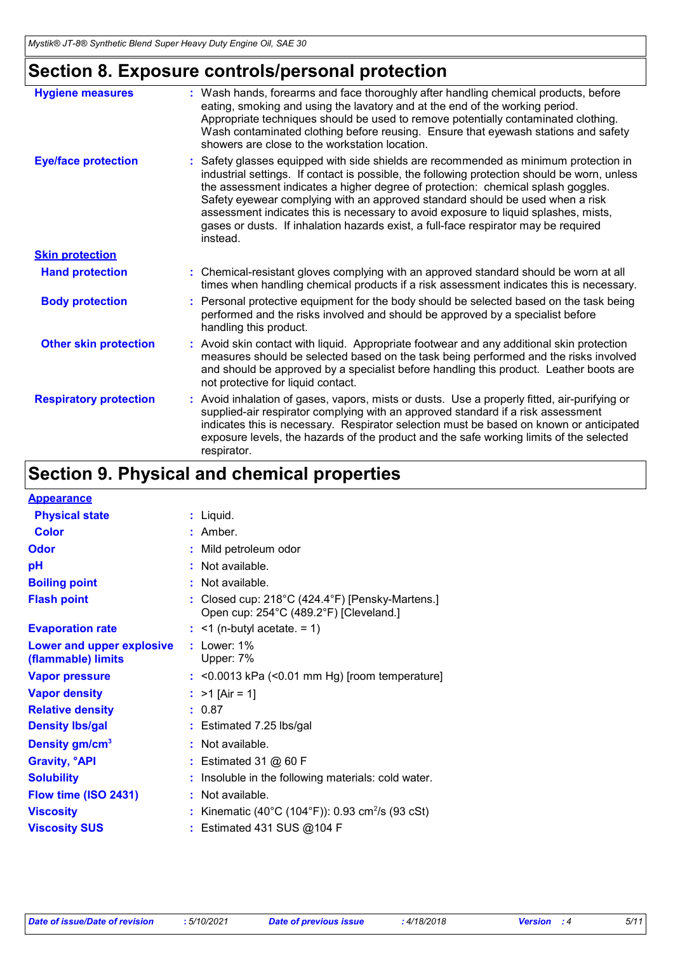## **Section 8. Exposure controls/personal protection**

| <b>Hygiene measures</b>       | : Wash hands, forearms and face thoroughly after handling chemical products, before<br>eating, smoking and using the lavatory and at the end of the working period.<br>Appropriate techniques should be used to remove potentially contaminated clothing.<br>Wash contaminated clothing before reusing. Ensure that eyewash stations and safety<br>showers are close to the workstation location.                                                                                                                                                   |
|-------------------------------|-----------------------------------------------------------------------------------------------------------------------------------------------------------------------------------------------------------------------------------------------------------------------------------------------------------------------------------------------------------------------------------------------------------------------------------------------------------------------------------------------------------------------------------------------------|
| <b>Eye/face protection</b>    | : Safety glasses equipped with side shields are recommended as minimum protection in<br>industrial settings. If contact is possible, the following protection should be worn, unless<br>the assessment indicates a higher degree of protection: chemical splash goggles.<br>Safety eyewear complying with an approved standard should be used when a risk<br>assessment indicates this is necessary to avoid exposure to liquid splashes, mists,<br>gases or dusts. If inhalation hazards exist, a full-face respirator may be required<br>instead. |
| <b>Skin protection</b>        |                                                                                                                                                                                                                                                                                                                                                                                                                                                                                                                                                     |
| <b>Hand protection</b>        | : Chemical-resistant gloves complying with an approved standard should be worn at all<br>times when handling chemical products if a risk assessment indicates this is necessary.                                                                                                                                                                                                                                                                                                                                                                    |
| <b>Body protection</b>        | : Personal protective equipment for the body should be selected based on the task being<br>performed and the risks involved and should be approved by a specialist before<br>handling this product.                                                                                                                                                                                                                                                                                                                                                 |
| <b>Other skin protection</b>  | : Avoid skin contact with liquid. Appropriate footwear and any additional skin protection<br>measures should be selected based on the task being performed and the risks involved<br>and should be approved by a specialist before handling this product. Leather boots are<br>not protective for liquid contact.                                                                                                                                                                                                                                   |
| <b>Respiratory protection</b> | : Avoid inhalation of gases, vapors, mists or dusts. Use a properly fitted, air-purifying or<br>supplied-air respirator complying with an approved standard if a risk assessment<br>indicates this is necessary. Respirator selection must be based on known or anticipated<br>exposure levels, the hazards of the product and the safe working limits of the selected<br>respirator.                                                                                                                                                               |

### **Section 9. Physical and chemical properties**

| <b>Appearance</b>                               |                                                                                                                |
|-------------------------------------------------|----------------------------------------------------------------------------------------------------------------|
| <b>Physical state</b>                           | $:$ Liquid.                                                                                                    |
| <b>Color</b>                                    | : Amber.                                                                                                       |
| <b>Odor</b>                                     | : Mild petroleum odor                                                                                          |
| рH                                              | $:$ Not available.                                                                                             |
| <b>Boiling point</b>                            | : Not available.                                                                                               |
| <b>Flash point</b>                              | : Closed cup: $218^{\circ}$ C (424.4 $^{\circ}$ F) [Pensky-Martens.]<br>Open cup: 254°C (489.2°F) [Cleveland.] |
| <b>Evaporation rate</b>                         | $:$ <1 (n-butyl acetate. = 1)                                                                                  |
| Lower and upper explosive<br>(flammable) limits | $:$ Lower: $1\%$<br>Upper: 7%                                                                                  |
| <b>Vapor pressure</b>                           | $:$ <0.0013 kPa (<0.01 mm Hg) [room temperature]                                                               |
| <b>Vapor density</b>                            | : $>1$ [Air = 1]                                                                                               |
| <b>Relative density</b>                         | : 0.87                                                                                                         |
| <b>Density Ibs/gal</b>                          | $:$ Estimated 7.25 lbs/gal                                                                                     |
| Density gm/cm <sup>3</sup>                      | : Not available.                                                                                               |
| <b>Gravity, <sup>o</sup>API</b>                 | : Estimated 31 $@$ 60 F                                                                                        |
| <b>Solubility</b>                               | Insoluble in the following materials: cold water.                                                              |
| Flow time (ISO 2431)                            | : Not available.                                                                                               |
| <b>Viscosity</b>                                | Kinematic (40°C (104°F)): 0.93 cm <sup>2</sup> /s (93 cSt)                                                     |
| <b>Viscosity SUS</b>                            | : Estimated 431 SUS @104 F                                                                                     |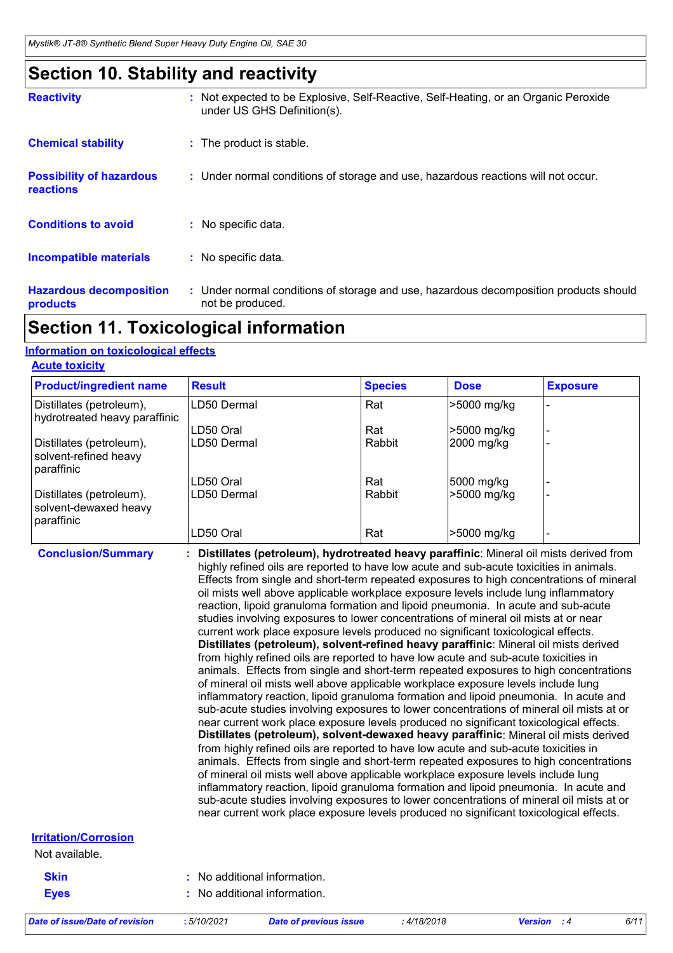### **Section 10. Stability and reactivity**

| <b>Reactivity</b>                                   | : Not expected to be Explosive, Self-Reactive, Self-Heating, or an Organic Peroxide<br>under US GHS Definition(s). |
|-----------------------------------------------------|--------------------------------------------------------------------------------------------------------------------|
| <b>Chemical stability</b>                           | : The product is stable.                                                                                           |
| <b>Possibility of hazardous</b><br><b>reactions</b> | : Under normal conditions of storage and use, hazardous reactions will not occur.                                  |
| <b>Conditions to avoid</b>                          | : No specific data.                                                                                                |
| <b>Incompatible materials</b>                       | : No specific data.                                                                                                |
| <b>Hazardous decomposition</b><br>products          | : Under normal conditions of storage and use, hazardous decomposition products should<br>not be produced.          |

### **Section 11. Toxicological information**

#### **Information on toxicological effects**

| <b>Acute toxicity</b> |  |  |  |  |  |  |
|-----------------------|--|--|--|--|--|--|
|                       |  |  |  |  |  |  |

| <b>Product/ingredient name</b>                                  | <b>Result</b> | <b>Species</b> | <b>Dose</b> | <b>Exposure</b> |
|-----------------------------------------------------------------|---------------|----------------|-------------|-----------------|
| Distillates (petroleum),<br>hydrotreated heavy paraffinic       | LD50 Dermal   | Rat            | >5000 mg/kg |                 |
|                                                                 | LD50 Oral     | Rat            | >5000 mg/kg |                 |
| Distillates (petroleum),<br>solvent-refined heavy<br>paraffinic | LD50 Dermal   | Rabbit         | 2000 mg/kg  |                 |
|                                                                 | LD50 Oral     | Rat            | 5000 mg/kg  |                 |
| Distillates (petroleum),<br>solvent-dewaxed heavy<br>paraffinic | LD50 Dermal   | Rabbit         | >5000 mg/kg |                 |
|                                                                 | LD50 Oral     | Rat            | -5000 mg/kg |                 |

**Conclusion/Summary : Distillates (petroleum), hydrotreated heavy paraffinic**: Mineral oil mists derived from highly refined oils are reported to have low acute and sub-acute toxicities in animals. Effects from single and short-term repeated exposures to high concentrations of mineral oil mists well above applicable workplace exposure levels include lung inflammatory reaction, lipoid granuloma formation and lipoid pneumonia. In acute and sub-acute studies involving exposures to lower concentrations of mineral oil mists at or near current work place exposure levels produced no significant toxicological effects. **Distillates (petroleum), solvent-refined heavy paraffinic**: Mineral oil mists derived from highly refined oils are reported to have low acute and sub-acute toxicities in animals. Effects from single and short-term repeated exposures to high concentrations of mineral oil mists well above applicable workplace exposure levels include lung inflammatory reaction, lipoid granuloma formation and lipoid pneumonia. In acute and sub-acute studies involving exposures to lower concentrations of mineral oil mists at or near current work place exposure levels produced no significant toxicological effects. **Distillates (petroleum), solvent-dewaxed heavy paraffinic**: Mineral oil mists derived from highly refined oils are reported to have low acute and sub-acute toxicities in animals. Effects from single and short-term repeated exposures to high concentrations of mineral oil mists well above applicable workplace exposure levels include lung inflammatory reaction, lipoid granuloma formation and lipoid pneumonia. In acute and sub-acute studies involving exposures to lower concentrations of mineral oil mists at or near current work place exposure levels produced no significant toxicological effects.

#### **Irritation/Corrosion**

Not available.

**Skin Eyes**

| : No additional information. |
|------------------------------|
|                              |

**:** No additional information.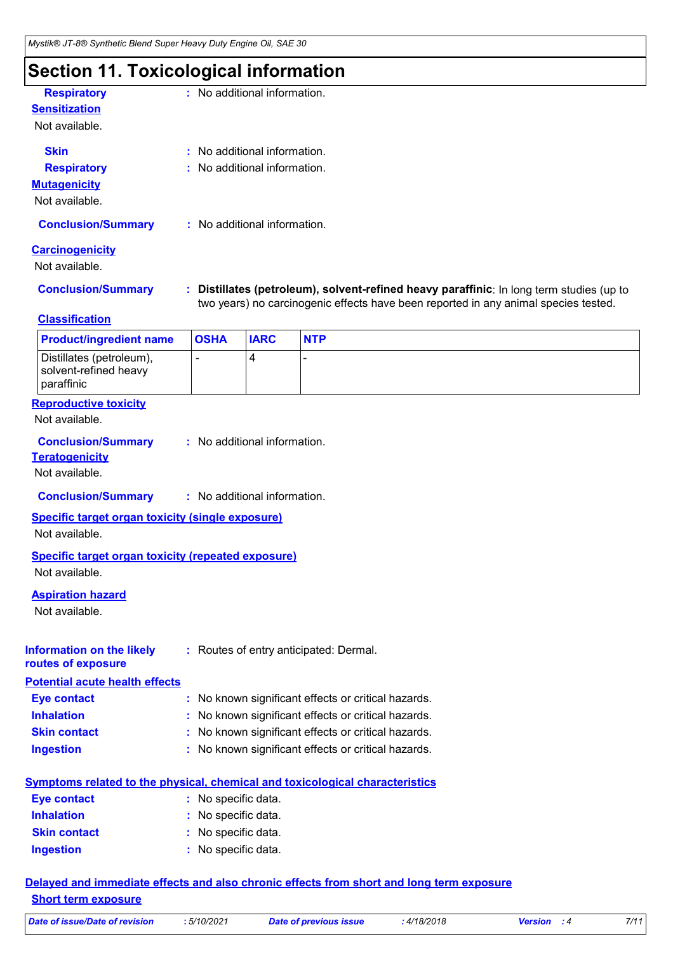### **Section 11. Toxicological information**

| <b>Respiratory</b>                                                                  |                                                   | : No additional information. |                                                                                                                                                                               |  |  |  |  |  |
|-------------------------------------------------------------------------------------|---------------------------------------------------|------------------------------|-------------------------------------------------------------------------------------------------------------------------------------------------------------------------------|--|--|--|--|--|
| <b>Sensitization</b><br>Not available.                                              |                                                   |                              |                                                                                                                                                                               |  |  |  |  |  |
|                                                                                     |                                                   |                              |                                                                                                                                                                               |  |  |  |  |  |
| <b>Skin</b>                                                                         | : No additional information.                      |                              |                                                                                                                                                                               |  |  |  |  |  |
| <b>Respiratory</b>                                                                  | : No additional information.                      |                              |                                                                                                                                                                               |  |  |  |  |  |
| <b>Mutagenicity</b>                                                                 |                                                   |                              |                                                                                                                                                                               |  |  |  |  |  |
| Not available.                                                                      |                                                   |                              |                                                                                                                                                                               |  |  |  |  |  |
| <b>Conclusion/Summary</b>                                                           | : No additional information.                      |                              |                                                                                                                                                                               |  |  |  |  |  |
| <b>Carcinogenicity</b>                                                              |                                                   |                              |                                                                                                                                                                               |  |  |  |  |  |
| Not available.                                                                      |                                                   |                              |                                                                                                                                                                               |  |  |  |  |  |
| <b>Conclusion/Summary</b>                                                           |                                                   |                              | Distillates (petroleum), solvent-refined heavy paraffinic: In long term studies (up to<br>two years) no carcinogenic effects have been reported in any animal species tested. |  |  |  |  |  |
| <b>Classification</b>                                                               |                                                   |                              |                                                                                                                                                                               |  |  |  |  |  |
| <b>Product/ingredient name</b>                                                      | <b>OSHA</b>                                       | <b>IARC</b>                  | <b>NTP</b>                                                                                                                                                                    |  |  |  |  |  |
| Distillates (petroleum),<br>solvent-refined heavy<br>paraffinic                     |                                                   | 4                            |                                                                                                                                                                               |  |  |  |  |  |
| <b>Reproductive toxicity</b><br>Not available.                                      |                                                   |                              |                                                                                                                                                                               |  |  |  |  |  |
| <b>Conclusion/Summary</b><br><b>Teratogenicity</b>                                  |                                                   | : No additional information. |                                                                                                                                                                               |  |  |  |  |  |
| Not available.                                                                      |                                                   |                              |                                                                                                                                                                               |  |  |  |  |  |
| <b>Conclusion/Summary</b>                                                           |                                                   | : No additional information. |                                                                                                                                                                               |  |  |  |  |  |
| <b>Specific target organ toxicity (single exposure)</b><br>Not available.           |                                                   |                              |                                                                                                                                                                               |  |  |  |  |  |
| <b>Specific target organ toxicity (repeated exposure)</b><br>Not available.         |                                                   |                              |                                                                                                                                                                               |  |  |  |  |  |
| <b>Aspiration hazard</b><br>Not available.                                          |                                                   |                              |                                                                                                                                                                               |  |  |  |  |  |
| <b>Information on the likely</b><br>routes of exposure                              |                                                   |                              | : Routes of entry anticipated: Dermal.                                                                                                                                        |  |  |  |  |  |
| <b>Potential acute health effects</b>                                               |                                                   |                              |                                                                                                                                                                               |  |  |  |  |  |
| <b>Eye contact</b>                                                                  | t.                                                |                              | No known significant effects or critical hazards.                                                                                                                             |  |  |  |  |  |
| <b>Inhalation</b>                                                                   | No known significant effects or critical hazards. |                              |                                                                                                                                                                               |  |  |  |  |  |
| <b>Skin contact</b>                                                                 | No known significant effects or critical hazards. |                              |                                                                                                                                                                               |  |  |  |  |  |
| <b>Ingestion</b>                                                                    | No known significant effects or critical hazards. |                              |                                                                                                                                                                               |  |  |  |  |  |
| <b>Symptoms related to the physical, chemical and toxicological characteristics</b> |                                                   |                              |                                                                                                                                                                               |  |  |  |  |  |
| <b>Eye contact</b>                                                                  | : No specific data.                               |                              |                                                                                                                                                                               |  |  |  |  |  |
| <b>Inhalation</b>                                                                   | No specific data.                                 |                              |                                                                                                                                                                               |  |  |  |  |  |
| <b>Skin contact</b>                                                                 | No specific data.                                 |                              |                                                                                                                                                                               |  |  |  |  |  |
| <b>Ingestion</b>                                                                    | : No specific data.                               |                              |                                                                                                                                                                               |  |  |  |  |  |

**Delayed and immediate effects and also chronic effects from short and long term exposure Short term exposure**

| Date of issue/Date of revision | 5/10/2021 | Date of previous issue | 4/18/2018 | <b>Version</b> : 4 |  |
|--------------------------------|-----------|------------------------|-----------|--------------------|--|
|--------------------------------|-----------|------------------------|-----------|--------------------|--|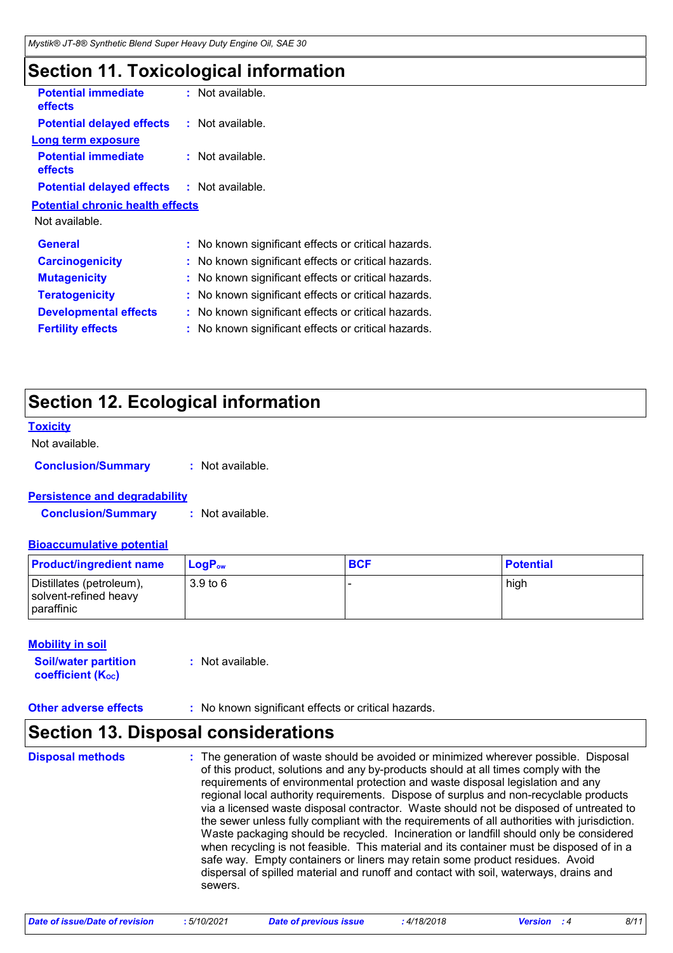### **Section 11. Toxicological information**

| <b>Potential immediate</b><br><b>effects</b> | : Not available.                                    |  |
|----------------------------------------------|-----------------------------------------------------|--|
| <b>Potential delayed effects</b>             | : Not available.                                    |  |
| Long term exposure                           |                                                     |  |
| <b>Potential immediate</b><br><b>effects</b> | : Not available.                                    |  |
| <b>Potential delayed effects</b>             | : Not available.                                    |  |
| <b>Potential chronic health effects</b>      |                                                     |  |
| Not available.                               |                                                     |  |
| <b>General</b>                               | : No known significant effects or critical hazards. |  |
| <b>Carcinogenicity</b>                       | : No known significant effects or critical hazards. |  |
| <b>Mutagenicity</b>                          | : No known significant effects or critical hazards. |  |
| <b>Teratogenicity</b>                        | : No known significant effects or critical hazards. |  |
| <b>Developmental effects</b>                 | : No known significant effects or critical hazards. |  |
| <b>Fertility effects</b>                     | : No known significant effects or critical hazards. |  |
|                                              |                                                     |  |

### **Section 12. Ecological information**

#### **Toxicity**

Not available.

**Conclusion/Summary :** Not available.

#### **Persistence and degradability**

**Conclusion/Summary :** Not available.

#### **Bioaccumulative potential**

| <b>Product/ingredient name</b>                                  | ∣ LoqP <sub>ow</sub> | <b>BCF</b> | <b>Potential</b> |
|-----------------------------------------------------------------|----------------------|------------|------------------|
| Distillates (petroleum),<br>solvent-refined heavy<br>paraffinic | 3.9 to 6             |            | high             |

#### **Mobility in soil**

| <b>Soil/water partition</b>    | : Not available. |
|--------------------------------|------------------|
| coefficient (K <sub>oc</sub> ) |                  |

**Other adverse effects :** No known significant effects or critical hazards.

### **Section 13. Disposal considerations**

The generation of waste should be avoided or minimized wherever possible. Disposal of this product, solutions and any by-products should at all times comply with the requirements of environmental protection and waste disposal legislation and any regional local authority requirements. Dispose of surplus and non-recyclable products via a licensed waste disposal contractor. Waste should not be disposed of untreated to the sewer unless fully compliant with the requirements of all authorities with jurisdiction. Waste packaging should be recycled. Incineration or landfill should only be considered when recycling is not feasible. This material and its container must be disposed of in a safe way. Empty containers or liners may retain some product residues. Avoid dispersal of spilled material and runoff and contact with soil, waterways, drains and sewers. **Disposal methods :**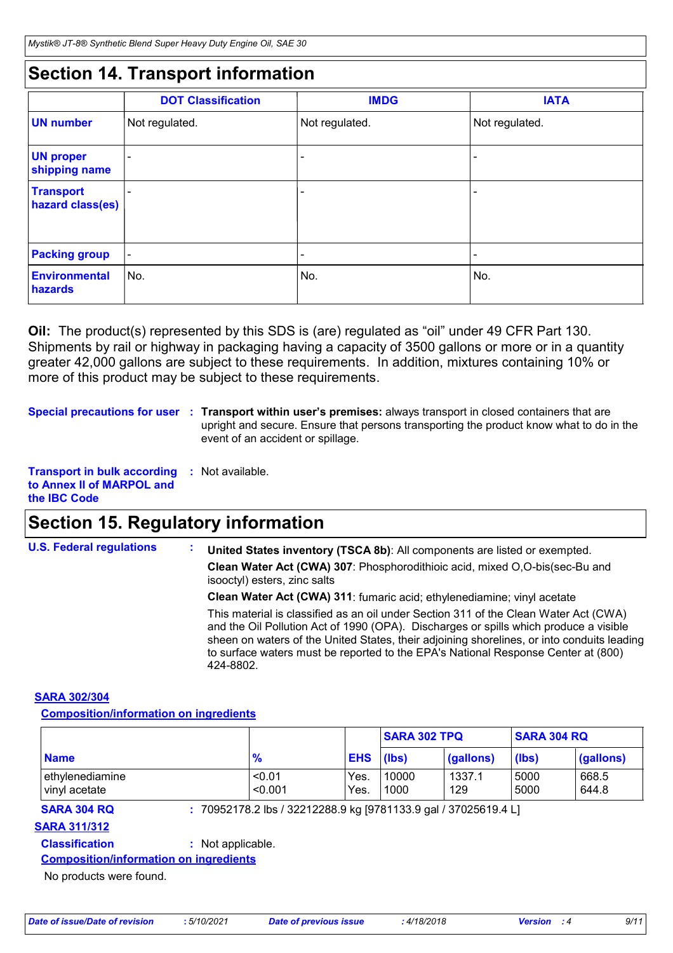### **Section 14. Transport information**

|                                      | <b>DOT Classification</b> | <b>IMDG</b>              | <b>IATA</b>              |
|--------------------------------------|---------------------------|--------------------------|--------------------------|
| <b>UN number</b>                     | Not regulated.            | Not regulated.           | Not regulated.           |
| <b>UN proper</b><br>shipping name    | $\overline{\phantom{0}}$  | ۰                        | ٠                        |
| <b>Transport</b><br>hazard class(es) | $\overline{\phantom{0}}$  | $\overline{\phantom{0}}$ | $\qquad \qquad$          |
| <b>Packing group</b>                 | $\overline{\phantom{a}}$  | $\overline{\phantom{a}}$ | $\overline{\phantom{a}}$ |
| <b>Environmental</b><br>hazards      | ∣No.                      | No.                      | No.                      |

**Oil:** The product(s) represented by this SDS is (are) regulated as "oil" under 49 CFR Part 130. Shipments by rail or highway in packaging having a capacity of 3500 gallons or more or in a quantity greater 42,000 gallons are subject to these requirements. In addition, mixtures containing 10% or more of this product may be subject to these requirements.

**Special precautions for user** : Transport within user's premises: always transport in closed containers that are upright and secure. Ensure that persons transporting the product know what to do in the event of an accident or spillage.

```
Transport in bulk according 
: Not available.
to Annex II of MARPOL and 
the IBC Code
```
### **Section 15. Regulatory information**

**U.S. Federal regulations : Clean Water Act (CWA) 307**: Phosphorodithioic acid, mixed O,O-bis(sec-Bu and isooctyl) esters, zinc salts **Clean Water Act (CWA) 311**: fumaric acid; ethylenediamine; vinyl acetate **United States inventory (TSCA 8b)**: All components are listed or exempted. This material is classified as an oil under Section 311 of the Clean Water Act (CWA) and the Oil Pollution Act of 1990 (OPA). Discharges or spills which produce a visible sheen on waters of the United States, their adjoining shorelines, or into conduits leading to surface waters must be reported to the EPA's National Response Center at (800)

#### **SARA 302/304**

**Composition/information on ingredients**

|                                  |                   |                  | <b>SARA 304 RQ</b><br><b>SARA 302 TPQ</b> |               |              |                |
|----------------------------------|-------------------|------------------|-------------------------------------------|---------------|--------------|----------------|
| <b>Name</b>                      | $\frac{9}{6}$     | <b>EHS</b> (lbs) |                                           | (gallons)     | (lbs)        | (gallons)      |
| ethylenediamine<br>vinvl acetate | < 0.01<br>< 0.001 | Yes.<br>Yes.     | 10000<br>1000                             | 1337.1<br>129 | 5000<br>5000 | 668.5<br>644.8 |

**SARA 304 RQ :** 70952178.2 lbs / 32212288.9 kg [9781133.9 gal / 37025619.4 L]

#### **SARA 311/312**

**Classification :** Not applicable.

**Composition/information on ingredients**

No products were found.

424-8802.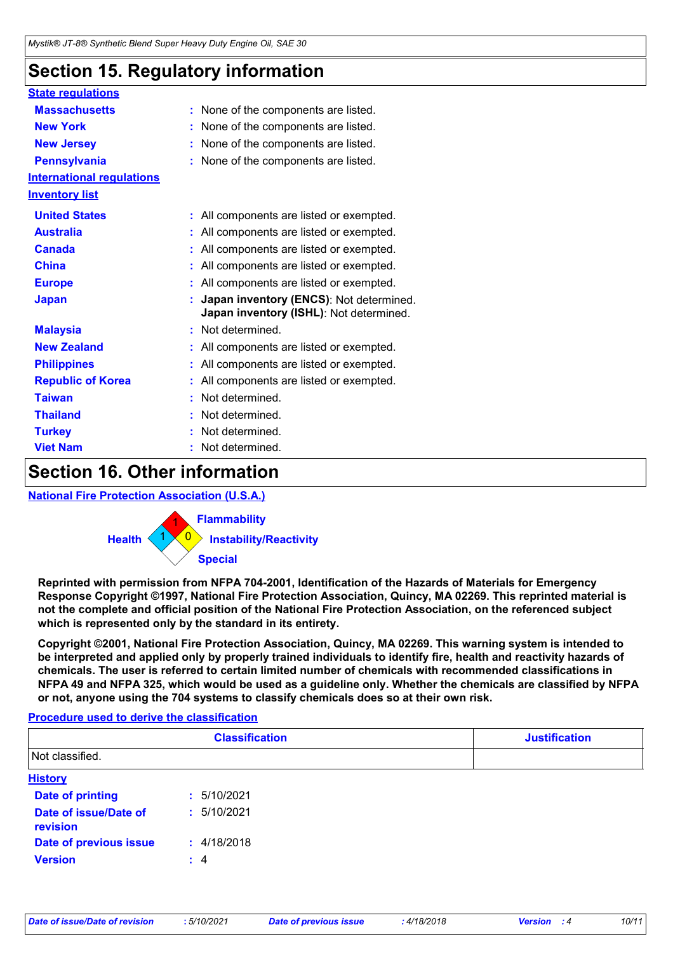### **Section 15. Regulatory information**

| <b>State regulations</b>         |                                                                                    |  |
|----------------------------------|------------------------------------------------------------------------------------|--|
| <b>Massachusetts</b>             | : None of the components are listed.                                               |  |
| <b>New York</b>                  | : None of the components are listed.                                               |  |
| <b>New Jersey</b>                | None of the components are listed.                                                 |  |
| <b>Pennsylvania</b>              | : None of the components are listed.                                               |  |
| <b>International regulations</b> |                                                                                    |  |
| <b>Inventory list</b>            |                                                                                    |  |
| <b>United States</b>             | : All components are listed or exempted.                                           |  |
| <b>Australia</b>                 | : All components are listed or exempted.                                           |  |
| <b>Canada</b>                    | : All components are listed or exempted.                                           |  |
| <b>China</b>                     | All components are listed or exempted.                                             |  |
| <b>Europe</b>                    | : All components are listed or exempted.                                           |  |
| <b>Japan</b>                     | Japan inventory (ENCS): Not determined.<br>Japan inventory (ISHL): Not determined. |  |
| <b>Malaysia</b>                  | : Not determined.                                                                  |  |
| <b>New Zealand</b>               | : All components are listed or exempted.                                           |  |
| <b>Philippines</b>               | : All components are listed or exempted.                                           |  |
| <b>Republic of Korea</b>         | : All components are listed or exempted.                                           |  |
| <b>Taiwan</b>                    | Not determined.                                                                    |  |
| <b>Thailand</b>                  | Not determined.                                                                    |  |
| <b>Turkey</b>                    | Not determined.                                                                    |  |
| <b>Viet Nam</b>                  | Not determined.                                                                    |  |

### **Section 16. Other information**

**National Fire Protection Association (U.S.A.)**



**Reprinted with permission from NFPA 704-2001, Identification of the Hazards of Materials for Emergency Response Copyright ©1997, National Fire Protection Association, Quincy, MA 02269. This reprinted material is not the complete and official position of the National Fire Protection Association, on the referenced subject which is represented only by the standard in its entirety.**

**Copyright ©2001, National Fire Protection Association, Quincy, MA 02269. This warning system is intended to be interpreted and applied only by properly trained individuals to identify fire, health and reactivity hazards of chemicals. The user is referred to certain limited number of chemicals with recommended classifications in NFPA 49 and NFPA 325, which would be used as a guideline only. Whether the chemicals are classified by NFPA or not, anyone using the 704 systems to classify chemicals does so at their own risk.**

#### **Procedure used to derive the classification**

| <b>Classification</b>             |             | <b>Justification</b> |  |
|-----------------------------------|-------------|----------------------|--|
| Not classified.                   |             |                      |  |
| <b>History</b>                    |             |                      |  |
| <b>Date of printing</b>           | : 5/10/2021 |                      |  |
| Date of issue/Date of<br>revision | : 5/10/2021 |                      |  |
| Date of previous issue            | : 4/18/2018 |                      |  |
| <b>Version</b>                    | : 4         |                      |  |